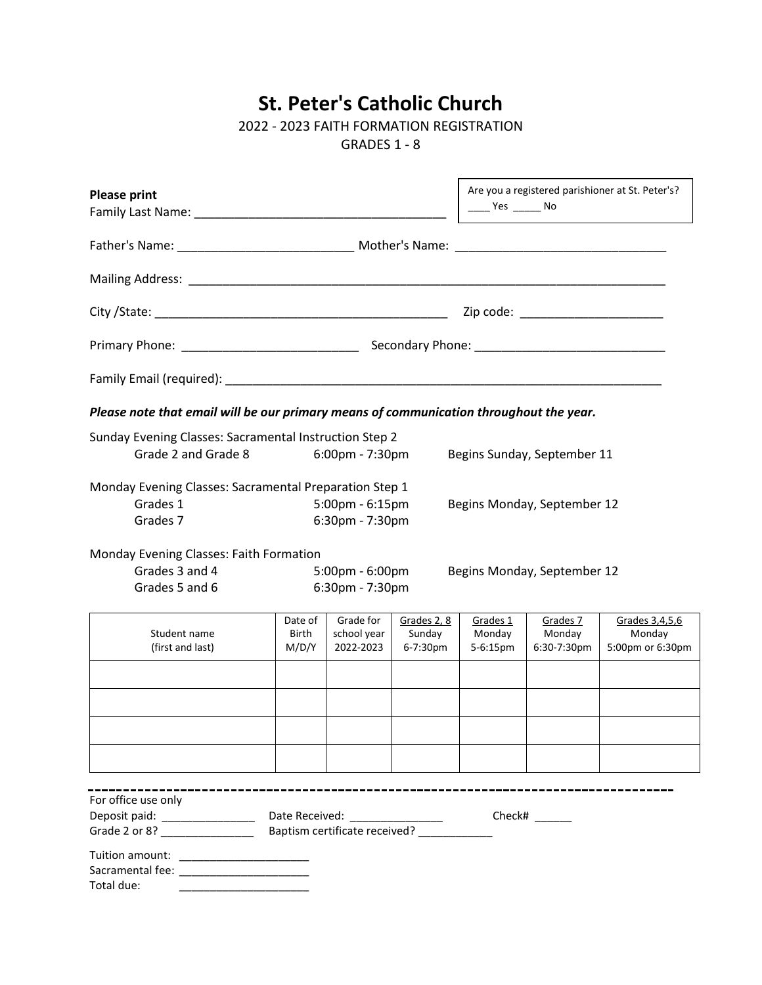# **St. Peter's Catholic Church**

2022 - 2023 FAITH FORMATION REGISTRATION

GRADES 1 - 8

| <b>Please print</b>                                                                                                                              | Are you a registered parishioner at St. Peter's?<br>$\frac{1}{2}$ Yes $\frac{1}{2}$ No                                      |                                                                  |                                   |                                |                                    |                                              |
|--------------------------------------------------------------------------------------------------------------------------------------------------|-----------------------------------------------------------------------------------------------------------------------------|------------------------------------------------------------------|-----------------------------------|--------------------------------|------------------------------------|----------------------------------------------|
|                                                                                                                                                  |                                                                                                                             |                                                                  |                                   |                                |                                    |                                              |
|                                                                                                                                                  |                                                                                                                             |                                                                  |                                   |                                |                                    |                                              |
|                                                                                                                                                  |                                                                                                                             |                                                                  |                                   |                                | Zip code: ________________________ |                                              |
|                                                                                                                                                  |                                                                                                                             |                                                                  |                                   |                                |                                    |                                              |
|                                                                                                                                                  |                                                                                                                             |                                                                  |                                   |                                |                                    |                                              |
| Please note that email will be our primary means of communication throughout the year.                                                           |                                                                                                                             |                                                                  |                                   |                                |                                    |                                              |
| Sunday Evening Classes: Sacramental Instruction Step 2<br>Grade 2 and Grade 8<br>$6:00 \text{pm} - 7:30 \text{pm}$                               |                                                                                                                             |                                                                  | Begins Sunday, September 11       |                                |                                    |                                              |
| Grades 1<br>Grades 7                                                                                                                             | Monday Evening Classes: Sacramental Preparation Step 1<br>5:00pm - 6:15pm<br>Begins Monday, September 12<br>6:30pm - 7:30pm |                                                                  |                                   |                                |                                    |                                              |
| Monday Evening Classes: Faith Formation<br>Grades 3 and 4<br>5:00pm - 6:00pm<br>Begins Monday, September 12<br>Grades 5 and 6<br>6:30pm - 7:30pm |                                                                                                                             |                                                                  |                                   |                                |                                    |                                              |
| Student name<br>(first and last)                                                                                                                 | Date of<br>Birth<br>M/D/Y                                                                                                   | Grade for<br>school year<br>2022-2023                            | Grades 2, 8<br>Sunday<br>6-7:30pm | Grades 1<br>Monday<br>5-6:15pm | Grades 7<br>Monday<br>6:30-7:30pm  | Grades 3,4,5,6<br>Monday<br>5:00pm or 6:30pm |
|                                                                                                                                                  |                                                                                                                             |                                                                  |                                   |                                |                                    |                                              |
|                                                                                                                                                  |                                                                                                                             |                                                                  |                                   |                                |                                    |                                              |
|                                                                                                                                                  |                                                                                                                             |                                                                  |                                   |                                |                                    |                                              |
| For office use only<br>Deposit paid: ________________<br>Grade 2 or 8?<br>Tuition amount: ________________________                               |                                                                                                                             | Date Received: ________________<br>Baptism certificate received? |                                   |                                | Check# $\_\_$                      |                                              |
| Total due:                                                                                                                                       |                                                                                                                             |                                                                  |                                   |                                |                                    |                                              |